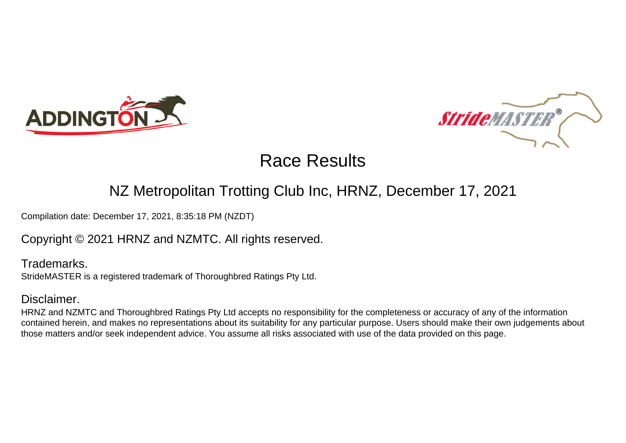



### NZ Metropolitan Trotting Club Inc, HRNZ, December 17, 2021

Compilation date: December 17, 2021, 8:35:18 PM (NZDT)

Copyright © 2021 HRNZ and NZMTC. All rights reserved.

Trademarks. StrideMASTER is a registered trademark of Thoroughbred Ratings Pty Ltd.

### Disclaimer.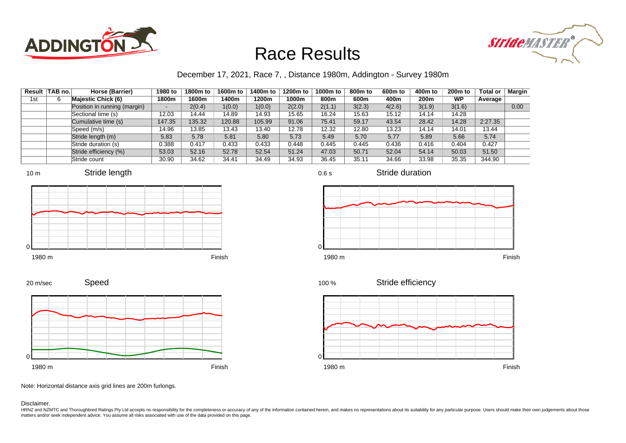



### December 17, 2021, Race 7, , Distance 1980m, Addington - Survey 1980m

|     | Result TAB no. | Horse (Barrier)              | 1980 to | 1800m to | 1600m to | 1400m to | 1200m to | 1000m to | 800m to | 600 <sub>m</sub> to | 400m to | 200 <sub>m</sub> to | <b>Total or</b> | Margin |
|-----|----------------|------------------------------|---------|----------|----------|----------|----------|----------|---------|---------------------|---------|---------------------|-----------------|--------|
| 1st | 6              | <b>Majestic Chick (6)</b>    | 1800m   | 1600m    | 1400m    | 1200m    | 1000m    | 800m     | 600m    | 400m                | 200m    | WP                  | Average         |        |
|     |                | Position in running (margin) |         | 2(0.4)   | 1(0.0)   | 1(0.0)   | 2(2.0)   | 2(1.1)   | 3(2.3)  | 4(2.6)              | 3(1.9)  | 3(1.6)              |                 | 0.00   |
|     |                | Sectional time (s)           | 12.03   | 14.44    | 14.89    | 14.93    | 15.65    | 16.24    | 15.63   | 15.12               | 14.14   | 14.28               |                 |        |
|     |                | Cumulative time (s)          | 147.35  | 135.32   | 120.88   | 105.99   | 91.06    | 75.41    | 59.17   | 43.54               | 28.42   | 14.28               | 2:27.35         |        |
|     |                | Speed (m/s)                  | 14.96   | 13.85    | 13.43    | 13.40    | 12.78    | 12.32    | 12.80   | 13.23               | 14.14   | 14.01               | 13.44           |        |
|     |                | Stride length (m)            | 5.83    | 5.78     | 5.81     | 5.80     | 5.73     | 5.49     | 5.70    | 5.77                | 5.89    | 5.66                | 5.74            |        |
|     |                | Stride duration (s)          | 0.388   | 0.417    | 0.433    | 0.433    | 0.448    | 0.445    | 0.445   | 0.436               | 0.416   | 0.404               | 0.427           |        |
|     |                | Stride efficiency (%)        | 53.03   | 52.16    | 52.78    | 52.54    | 51.24    | 47.03    | 50.71   | 52.04               | 54.14   | 50.03               | 51.50           |        |
|     |                | Stride count                 | 30.90   | 34.62    | 34.41    | 34.49    | 34.93    | 36.45    | 35.11   | 34.66               | 33.98   | 35.35               | 344.90          |        |









Stride duration











Note: Horizontal distance axis grid lines are 200m furlongs.

#### Disclaimer.

20 m/sec

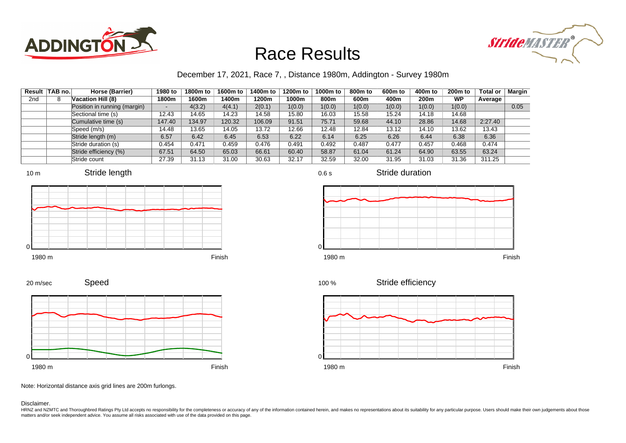



### December 17, 2021, Race 7, , Distance 1980m, Addington - Survey 1980m

| Result | TAB no. | Horse (Barrier)              | 1980 to | 1800m to | 1600m to | 1400m to | 1200m to | 1000m to | 800m to | 600 <sub>m</sub> to | 400m to | 200 <sub>m</sub> to | <b>Total or</b> | <b>Margin</b> |
|--------|---------|------------------------------|---------|----------|----------|----------|----------|----------|---------|---------------------|---------|---------------------|-----------------|---------------|
| 2nd    | 8       | Vacation Hill (8)            | 1800m   | 1600m    | 1400m    | 1200m    | 1000m    | 800m     | 600m    | 400m                | 200m    | <b>WP</b>           | Average         |               |
|        |         | Position in running (margin) | $\sim$  | 4(3.2)   | 4(4.1)   | 2(0.1)   | 1(0.0)   | 1(0.0)   | 1(0.0)  | 1(0.0)              | 1(0.0)  | 1(0.0)              |                 | 0.05          |
|        |         | Sectional time (s)           | 12.43   | 14.65    | 14.23    | 14.58    | 15.80    | 16.03    | 15.58   | 15.24               | 14.18   | 14.68               |                 |               |
|        |         | Cumulative time (s)          | 147.40  | 134.97   | 120.32   | 106.09   | 91.51    | 75.71    | 59.68   | 44.10               | 28.86   | 14.68               | 2:27.40         |               |
|        |         | Speed (m/s)                  | 14.48   | 13.65    | 14.05    | 13.72    | 12.66    | 12.48    | 12.84   | 13.12               | 14.10   | 13.62               | 13.43           |               |
|        |         | Stride length (m)            | 6.57    | 6.42     | 6.45     | 6.53     | 6.22     | 6.14     | 6.25    | 6.26                | 6.44    | 6.38                | 6.36            |               |
|        |         | Stride duration (s)          | 0.454   | 0.471    | 0.459    | 0.476    | 0.491    | 0.492    | 0.487   | 0.477               | 0.457   | 0.468               | 0.474           |               |
|        |         | Stride efficiency (%)        | 67.51   | 64.50    | 65.03    | 66.61    | 60.40    | 58.87    | 61.04   | 61.24               | 64.90   | 63.55               | 63.24           |               |
|        |         | Stride count                 | 27.39   | 31.13    | 31.00    | 30.63    | 32.17    | 32.59    | 32.00   | 31.95               | 31.03   | 31.36               | 311.25          |               |









0.6 s

Stride duration



Stride efficiency 100 %



Note: Horizontal distance axis grid lines are 200m furlongs.

#### Disclaimer.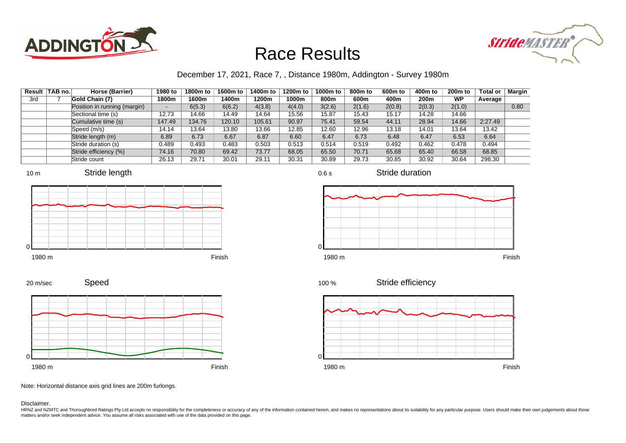



### December 17, 2021, Race 7, , Distance 1980m, Addington - Survey 1980m

|     | Result   TAB no. | Horse (Barrier)              | 1980 to | 1800m to | 1600m to | 1400m to | 1200m to | 1000m to | 800 <sub>m</sub> to | 600m to | 400m to          | 200 <sub>m</sub> to | <b>Total or</b> | Margin |
|-----|------------------|------------------------------|---------|----------|----------|----------|----------|----------|---------------------|---------|------------------|---------------------|-----------------|--------|
| 3rd |                  | Gold Chain (7)               | 1800m   | 1600m    | 1400m    | 1200m    | 1000m    | 800m     | 600m                | 400m    | 200 <sub>m</sub> | WP                  | Average         |        |
|     |                  | Position in running (margin) | -       | 6(5.3)   | 6(6.2)   | 4(3.8)   | 4(4.0)   | 3(2.6)   | 2(1.6)              | 2(0.8)  | 2(0.3)           | 2(1.0)              |                 | 0.80   |
|     |                  | Sectional time (s)           | 12.73   | 14.66    | 14.49    | 14.64    | 15.56    | 15.87    | 15.43               | 15.17   | 14.28            | 14.66               |                 |        |
|     |                  | Cumulative time (s)          | 147.49  | 134.76   | 120.10   | 105.61   | 90.97    | 75.41    | 59.54               | 44.11   | 28.94            | 14.66               | 2:27.49         |        |
|     |                  | Speed (m/s)                  | 14.14   | 13.64    | 13.80    | 13.66    | 12.85    | 12.60    | 12.96               | 13.18   | 14.01            | 13.64               | 13.42           |        |
|     |                  | Stride length (m)            | 6.89    | 6.73     | 6.67     | 6.87     | 6.60     | 6.47     | 6.73                | 6.48    | 6.47             | 6.53                | 6.64            |        |
|     |                  | Stride duration (s)          | 0.489   | 0.493    | 0.483    | 0.503    | 0.513    | 0.514    | 0.519               | 0.492   | 0.462            | 0.478               | 0.494           |        |
|     |                  | Stride efficiency (%)        | 74.16   | 70.80    | 69.42    | 73.77    | 68.05    | 65.50    | 70.71               | 65.68   | 65.40            | 66.58               | 68.85           |        |
|     |                  | Stride count                 | 26.13   | 29.71    | 30.01    | 29.11    | 30.31    | 30.89    | 29.73               | 30.85   | 30.92            | 30.64               | 298.30          |        |









Stride efficiency 100 %



Speed 20 m/sec



Note: Horizontal distance axis grid lines are 200m furlongs.

#### Disclaimer.

HRNZ and NZMTC and Thoroughbred Ratings Pty Ltd accepts no responsibility for the completeness or accuracy of any of the information contained herein, and makes no representations about its suitability for any particular p matters and/or seek independent advice. You assume all risks associated with use of the data provided on this page.

0.6 s

Stride duration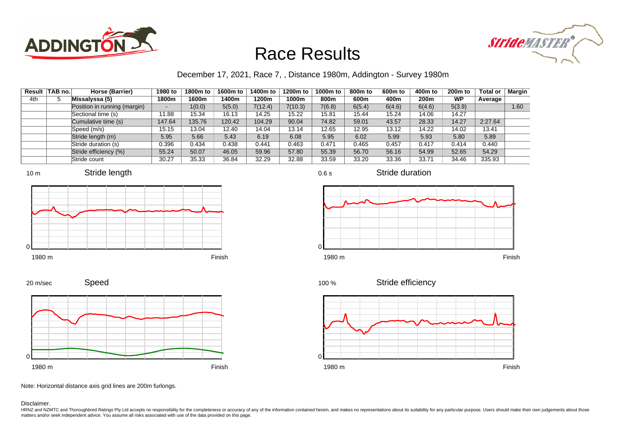



### December 17, 2021, Race 7, , Distance 1980m, Addington - Survey 1980m

0.6 s

| Result | TAB no. | Horse (Barrier)              | 1980 to | 1800m to | 1600m to | 1400m to | 1200m to | 1000m to | 800 <sub>m</sub> to | 600m to | 400m to | 200 <sub>m</sub> to | <b>Total or</b> | <b>Margin</b> |
|--------|---------|------------------------------|---------|----------|----------|----------|----------|----------|---------------------|---------|---------|---------------------|-----------------|---------------|
| 4th    | 5       | Missalyssa (5)               | 1800m   | 1600m    | 1400m    | 1200m    | 1000m    | 800m     | 600m                | 400m    | 200m    | WP                  | Average         |               |
|        |         | Position in running (margin) |         | 1(0.0)   | 5(5.0)   | 7(12.4)  | 7(10.3)  | 7(6.8)   | 6(5.4)              | 6(4.6)  | 6(4.6)  | 5(3.9)              |                 | 1.60          |
|        |         | Sectional time (s)           | 11.88   | 15.34    | 16.13    | 14.25    | 15.22    | 15.81    | 15.44               | 15.24   | 14.06   | 14.27               |                 |               |
|        |         | Cumulative time (s)          | 147.64  | 135.76   | 120.42   | 104.29   | 90.04    | 74.82    | 59.01               | 43.57   | 28.33   | 14.27               | 2:27.64         |               |
|        |         | Speed (m/s)                  | 15.15   | 13.04    | 12.40    | 14.04    | 13.14    | 12.65    | 12.95               | 13.12   | 14.22   | 14.02               | 13.41           |               |
|        |         | Stride length (m)            | 5.95    | 5.66     | 5.43     | 6.19     | 6.08     | 5.95     | 6.02                | 5.99    | 5.93    | 5.80                | 5.89            |               |
|        |         | Stride duration (s)          | 0.396   | 0.434    | 0.438    | 0.441    | 0.463    | 0.471    | 0.465               | 0.457   | 0.417   | 0.414               | 0.440           |               |
|        |         | Stride efficiency (%)        | 55.24   | 50.07    | 46.05    | 59.96    | 57.80    | 55.39    | 56.70               | 56.16   | 54.99   | 52.65               | 54.29           |               |
|        |         | Stride count                 | 30.27   | 35.33    | 36.84    | 32.29    | 32.88    | 33.59    | 33.20               | 33.36   | 33.71   | 34.46               | 335.93          |               |







Stride duration





Speed







Note: Horizontal distance axis grid lines are 200m furlongs.

Disclaimer.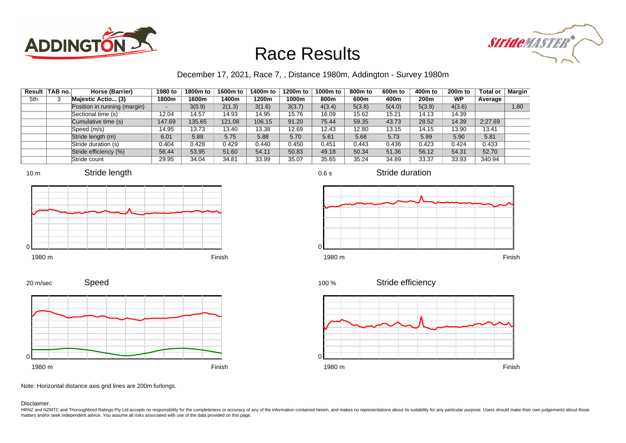



### December 17, 2021, Race 7, , Distance 1980m, Addington - Survey 1980m

|     | Result   TAB no. | Horse (Barrier)              | 1980 to | 1800m to | 1600m to | 1400m to | 1200m to | 1000m to | 800m to | 600 <sub>m</sub> to | 400m to | 200 <sub>m</sub> to | <b>Total or</b> | <b>Margin</b> |
|-----|------------------|------------------------------|---------|----------|----------|----------|----------|----------|---------|---------------------|---------|---------------------|-----------------|---------------|
| 5th | 3                | Majestic Actio (3)           | 1800m   | 1600m    | 1400m    | 1200m    | 1000m    | 800m     | 600m    | 400m                | 200m    | <b>WP</b>           | Average         |               |
|     |                  | Position in running (margin) |         | 3(0.9)   | 2(1.3)   | 3(1.6)   | 3(3.7)   | 4(3.4)   | 5(3.8)  | 5(4.0)              | 5(3.9)  | 4(3.6)              |                 | 1.80          |
|     |                  | Sectional time (s)           | 12.04   | 14.57    | 14.93    | 14.95    | 15.76    | 16.09    | 15.62   | 15.21               | 14.13   | 14.39               |                 |               |
|     |                  | Cumulative time (s)          | 147.69  | 135.65   | 121.08   | 106.15   | 91.20    | 75.44    | 59.35   | 43.73               | 28.52   | 14.39               | 2:27.69         |               |
|     |                  | Speed (m/s)                  | 14.95   | 13.73    | 13.40    | 13.38    | 12.69    | 12.43    | 12.80   | 13.15               | 14.15   | 13.90               | 13.41           |               |
|     |                  | Stride length (m)            | 6.01    | 5.88     | 5.75     | 5.88     | 5.70     | 5.61     | 5.68    | 5.73                | 5.99    | 5.90                | 5.81            |               |
|     |                  | Stride duration (s)          | 0.404   | 0.428    | 0.429    | 0.440    | 0.450    | 0.451    | 0.443   | 0.436               | 0.423   | 0.424               | 0.433           |               |
|     |                  | Stride efficiency (%)        | 56.44   | 53.95    | 51.60    | 54.11    | 50.83    | 49.18    | 50.34   | 51.36               | 56.12   | 54.31               | 52.70           |               |
|     |                  | Stride count                 | 29.95   | 34.04    | 34.81    | 33.99    | 35.07    | 35.65    | 35.24   | 34.89               | 33.37   | 33.93               | 340.94          |               |











0.6 s

Stride duration



Stride efficiency 100 %



Note: Horizontal distance axis grid lines are 200m furlongs.

#### Disclaimer.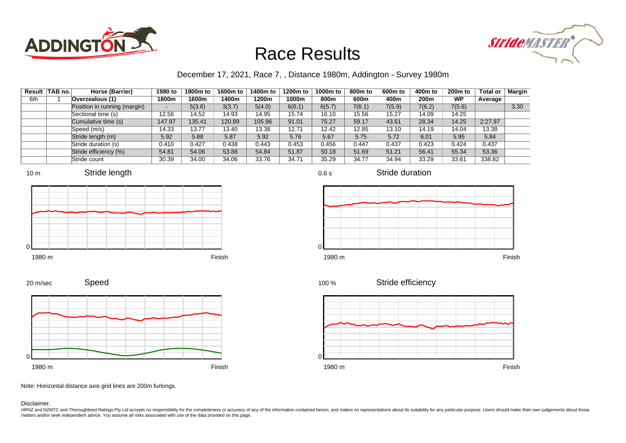



### December 17, 2021, Race 7, , Distance 1980m, Addington - Survey 1980m

| Result | <b>TAB no.</b> | Horse (Barrier)              | 1980 to | 1800m to | 1600m to | 1400m to | 1200m to | 1000m to | 800m to | 600 <sub>m</sub> to | 400m to | 200 <sub>m</sub> to | <b>Total or</b> | <b>Margin</b> |
|--------|----------------|------------------------------|---------|----------|----------|----------|----------|----------|---------|---------------------|---------|---------------------|-----------------|---------------|
| 6th    |                | Overzealous (1)              | 1800m   | 1600m    | 1400m    | 1200m    | 1000m    | 800m     | 600m    | 400m                | 200m    | <b>WP</b>           | Average         |               |
|        |                | Position in running (margin) | $\sim$  | 5(3.6)   | 3(3.7)   | 5(4.0)   | 6(6.1)   | 6(5.7)   | 7(6.1)  | 7(5.9)              | 7(6.2)  | 7(5.6)              |                 | 3.30          |
|        |                | Sectional time (s)           | 12.56   | 14.52    | 14.93    | 14.95    | 15.74    | 16.10    | 15.56   | 15.27               | 14.09   | 14.25               |                 |               |
|        |                | Cumulative time (s)          | 147.97  | 135.41   | 120.89   | 105.96   | 91.01    | 75.27    | 59.17   | 43.61               | 28.34   | 14.25               | 2:27.97         |               |
|        |                | Speed (m/s)                  | 14.33   | 13.77    | 13.40    | 13.38    | 12.71    | 12.42    | 12.85   | 13.10               | 14.19   | 14.04               | 13.38           |               |
|        |                | Stride length (m)            | 5.92    | 5.88     | 5.87     | 5.92     | 5.76     | 5.67     | 5.75    | 5.72                | 6.01    | 5.95                | 5.84            |               |
|        |                | Stride duration (s)          | 0.410   | 0.427    | 0.438    | 0.443    | 0.453    | 0.456    | 0.447   | 0.437               | 0.423   | 0.424               | 0.437           |               |
|        |                | Stride efficiency (%)        | 54.81   | 54.06    | 53.88    | 54.84    | 51.87    | 50.18    | 51.69   | 51.21               | 56.41   | 55.34               | 53.36           |               |
|        |                | Stride count                 | 30.39   | 34.00    | 34.06    | 33.76    | 34.71    | 35.29    | 34.77   | 34.94               | 33.29   | 33.61               | 338.82          |               |











0.6 s

Stride duration



Stride efficiency 100 %



Note: Horizontal distance axis grid lines are 200m furlongs.

#### Disclaimer.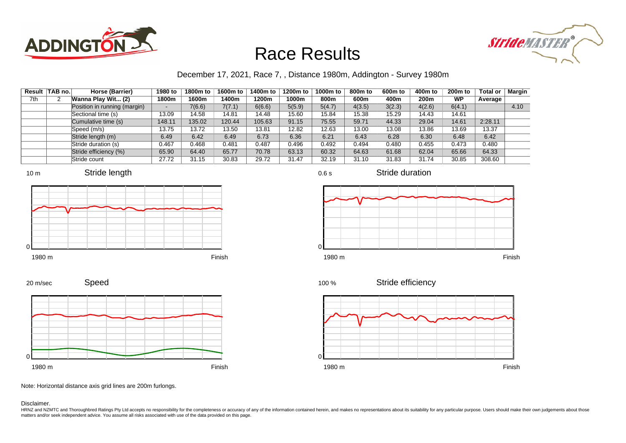



### December 17, 2021, Race 7, , Distance 1980m, Addington - Survey 1980m

|     | Result TAB no. | Horse (Barrier)              | 1980 to | 1800m to | 1600m to | 1400m to | 1200m to | 1000m to | 800m to | 600 <sub>m</sub> to | 400m to | 200 <sub>m</sub> to | <b>Total or</b> | Margin |
|-----|----------------|------------------------------|---------|----------|----------|----------|----------|----------|---------|---------------------|---------|---------------------|-----------------|--------|
| 7th | 2              | Wanna Play Wit (2)           | 1800m   | 1600m    | 1400m    | 1200m    | 1000m    | 800m     | 600m    | 400m                | 200m    | <b>WP</b>           | Average         |        |
|     |                | Position in running (margin) |         | 7(6.6)   | 7(7.1)   | 6(6.6)   | 5(5.9)   | 5(4.7)   | 4(3.5)  | 3(2.3)              | 4(2.6)  | 6(4.1)              |                 | 4.10   |
|     |                | Sectional time (s)           | 13.09   | 14.58    | 14.81    | 14.48    | 15.60    | 15.84    | 15.38   | 15.29               | 14.43   | 14.61               |                 |        |
|     |                | Cumulative time (s)          | 148.11  | 135.02   | 120.44   | 105.63   | 91.15    | 75.55    | 59.71   | 44.33               | 29.04   | 14.61               | 2:28.11         |        |
|     |                | Speed (m/s)                  | 13.75   | 13.72    | 13.50    | 13.81    | 12.82    | 12.63    | 13.00   | 13.08               | 13.86   | 13.69               | 13.37           |        |
|     |                | Stride length (m)            | 6.49    | 6.42     | 6.49     | 6.73     | 6.36     | 6.21     | 6.43    | 6.28                | 6.30    | 6.48                | 6.42            |        |
|     |                | Stride duration (s)          | 0.467   | 0.468    | 0.481    | 0.487    | 0.496    | 0.492    | 0.494   | 0.480               | 0.455   | 0.473               | 0.480           |        |
|     |                | Stride efficiency (%)        | 65.90   | 64.40    | 65.77    | 70.78    | 63.13    | 60.32    | 64.63   | 61.68               | 62.04   | 65.66               | 64.33           |        |
|     |                | Stride count                 | 27.72   | 31.15    | 30.83    | 29.72    | 31.47    | 32.19    | 31.10   | 31.83               | 31.74   | 30.85               | 308.60          |        |











Stride duration



Stride efficiency 100 %



Note: Horizontal distance axis grid lines are 200m furlongs.

#### Disclaimer.